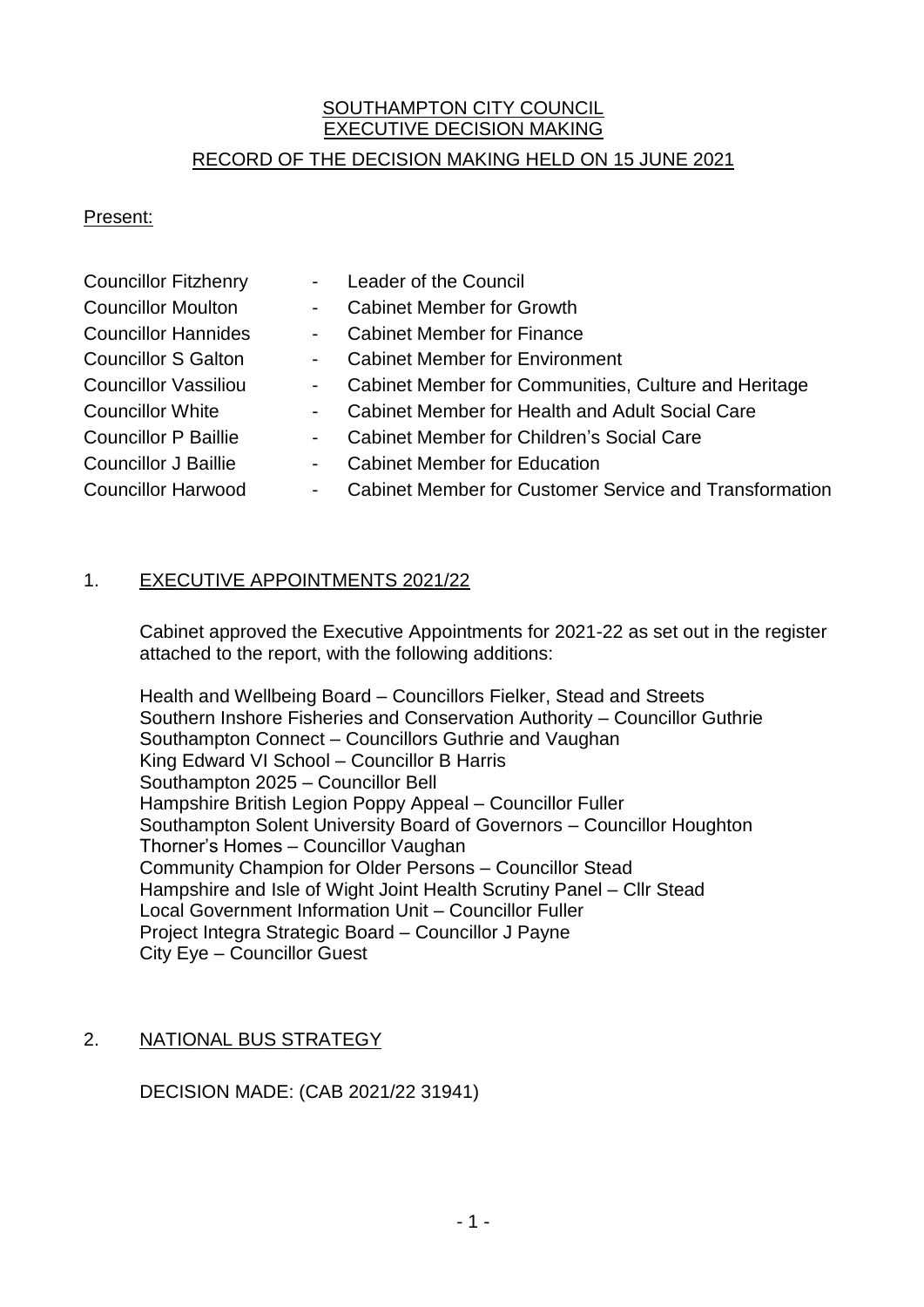# SOUTHAMPTON CITY COUNCIL EXECUTIVE DECISION MAKING

## RECORD OF THE DECISION MAKING HELD ON 15 JUNE 2021

#### Present:

| <b>Councillor Fitzhenry</b> |                          | Leader of the Council                                         |
|-----------------------------|--------------------------|---------------------------------------------------------------|
| <b>Councillor Moulton</b>   | $\sim$                   | <b>Cabinet Member for Growth</b>                              |
| <b>Councillor Hannides</b>  | $\blacksquare$           | <b>Cabinet Member for Finance</b>                             |
| <b>Councillor S Galton</b>  | $\sim$ $-$               | <b>Cabinet Member for Environment</b>                         |
| <b>Councillor Vassiliou</b> | $\sim$ 100 $\mu$         | Cabinet Member for Communities, Culture and Heritage          |
| <b>Councillor White</b>     | $\sim$                   | Cabinet Member for Health and Adult Social Care               |
| <b>Councillor P Baillie</b> | $\sim$                   | Cabinet Member for Children's Social Care                     |
| <b>Councillor J Baillie</b> | $\overline{\phantom{a}}$ | <b>Cabinet Member for Education</b>                           |
| <b>Councillor Harwood</b>   | $\overline{\phantom{a}}$ | <b>Cabinet Member for Customer Service and Transformation</b> |
|                             |                          |                                                               |

## 1. EXECUTIVE APPOINTMENTS 2021/22

Cabinet approved the Executive Appointments for 2021-22 as set out in the register attached to the report, with the following additions:

Health and Wellbeing Board – Councillors Fielker, Stead and Streets Southern Inshore Fisheries and Conservation Authority – Councillor Guthrie Southampton Connect – Councillors Guthrie and Vaughan King Edward VI School – Councillor B Harris Southampton 2025 – Councillor Bell Hampshire British Legion Poppy Appeal – Councillor Fuller Southampton Solent University Board of Governors – Councillor Houghton Thorner's Homes – Councillor Vaughan Community Champion for Older Persons – Councillor Stead Hampshire and Isle of Wight Joint Health Scrutiny Panel – Cllr Stead Local Government Information Unit – Councillor Fuller Project Integra Strategic Board – Councillor J Payne City Eye – Councillor Guest

## 2. NATIONAL BUS STRATEGY

DECISION MADE: (CAB 2021/22 31941)